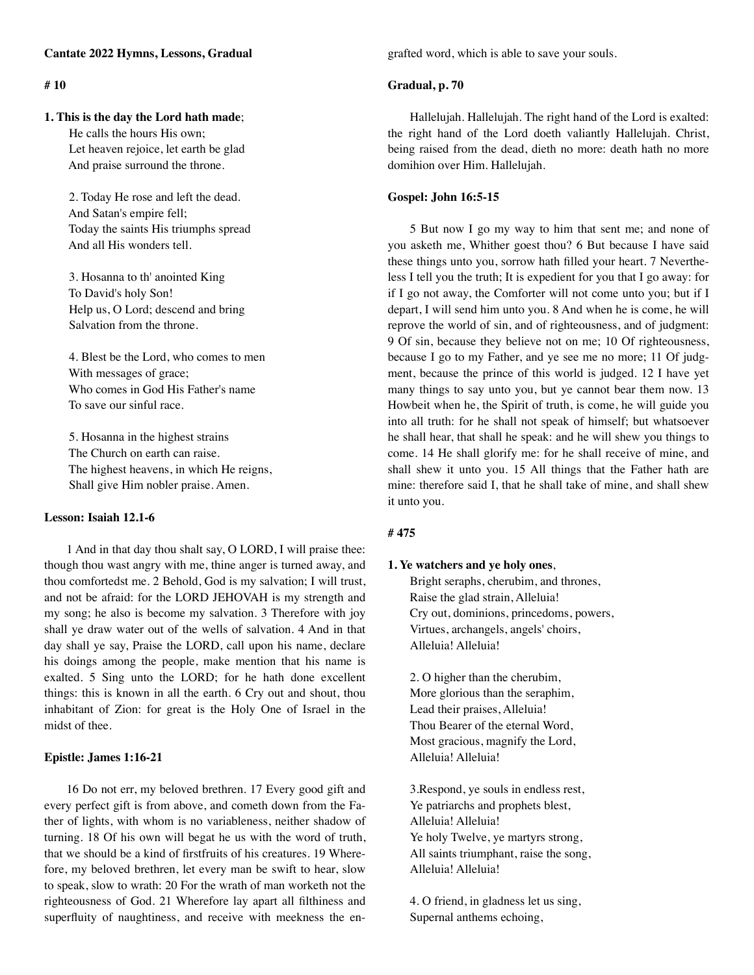# **Cantate 2022 Hymns, Lessons, Gradual**

# **# 10**

#### **1. This is the day the Lord hath made**;

 He calls the hours His own; Let heaven rejoice, let earth be glad And praise surround the throne.

 2. Today He rose and left the dead. And Satan's empire fell; Today the saints His triumphs spread And all His wonders tell.

 3. Hosanna to th' anointed King To David's holy Son! Help us, O Lord; descend and bring Salvation from the throne.

 4. Blest be the Lord, who comes to men With messages of grace; Who comes in God His Father's name To save our sinful race.

 5. Hosanna in the highest strains The Church on earth can raise. The highest heavens, in which He reigns, Shall give Him nobler praise. Amen.

### **Lesson: Isaiah 12.1-6**

1 And in that day thou shalt say, O LORD, I will praise thee: though thou wast angry with me, thine anger is turned away, and thou comfortedst me. 2 Behold, God is my salvation; I will trust, and not be afraid: for the LORD JEHOVAH is my strength and my song; he also is become my salvation. 3 Therefore with joy shall ye draw water out of the wells of salvation. 4 And in that day shall ye say, Praise the LORD, call upon his name, declare his doings among the people, make mention that his name is exalted. 5 Sing unto the LORD; for he hath done excellent things: this is known in all the earth. 6 Cry out and shout, thou inhabitant of Zion: for great is the Holy One of Israel in the midst of thee.

## **Epistle: James 1:16-21**

16 Do not err, my beloved brethren. 17 Every good gift and every perfect gift is from above, and cometh down from the Father of lights, with whom is no variableness, neither shadow of turning. 18 Of his own will begat he us with the word of truth, that we should be a kind of firstfruits of his creatures. 19 Wherefore, my beloved brethren, let every man be swift to hear, slow to speak, slow to wrath: 20 For the wrath of man worketh not the righteousness of God. 21 Wherefore lay apart all filthiness and superfluity of naughtiness, and receive with meekness the engrafted word, which is able to save your souls.

## **Gradual, p. 70**

Hallelujah. Hallelujah. The right hand of the Lord is exalted: the right hand of the Lord doeth valiantly Hallelujah. Christ, being raised from the dead, dieth no more: death hath no more domihion over Him. Hallelujah.

### **Gospel: John 16:5-15**

5 But now I go my way to him that sent me; and none of you asketh me, Whither goest thou? 6 But because I have said these things unto you, sorrow hath filled your heart. 7 Nevertheless I tell you the truth; It is expedient for you that I go away: for if I go not away, the Comforter will not come unto you; but if I depart, I will send him unto you. 8 And when he is come, he will reprove the world of sin, and of righteousness, and of judgment: 9 Of sin, because they believe not on me; 10 Of righteousness, because I go to my Father, and ye see me no more; 11 Of judgment, because the prince of this world is judged. 12 I have yet many things to say unto you, but ye cannot bear them now. 13 Howbeit when he, the Spirit of truth, is come, he will guide you into all truth: for he shall not speak of himself; but whatsoever he shall hear, that shall he speak: and he will shew you things to come. 14 He shall glorify me: for he shall receive of mine, and shall shew it unto you. 15 All things that the Father hath are mine: therefore said I, that he shall take of mine, and shall shew it unto you.

#### **# 475**

#### **1. Ye watchers and ye holy ones**,

Bright seraphs, cherubim, and thrones, Raise the glad strain, Alleluia! Cry out, dominions, princedoms, powers, Virtues, archangels, angels' choirs, Alleluia! Alleluia!

2. O higher than the cherubim, More glorious than the seraphim, Lead their praises, Alleluia! Thou Bearer of the eternal Word, Most gracious, magnify the Lord, Alleluia! Alleluia!

3.Respond, ye souls in endless rest, Ye patriarchs and prophets blest, Alleluia! Alleluia! Ye holy Twelve, ye martyrs strong, All saints triumphant, raise the song, Alleluia! Alleluia!

4. O friend, in gladness let us sing, Supernal anthems echoing,